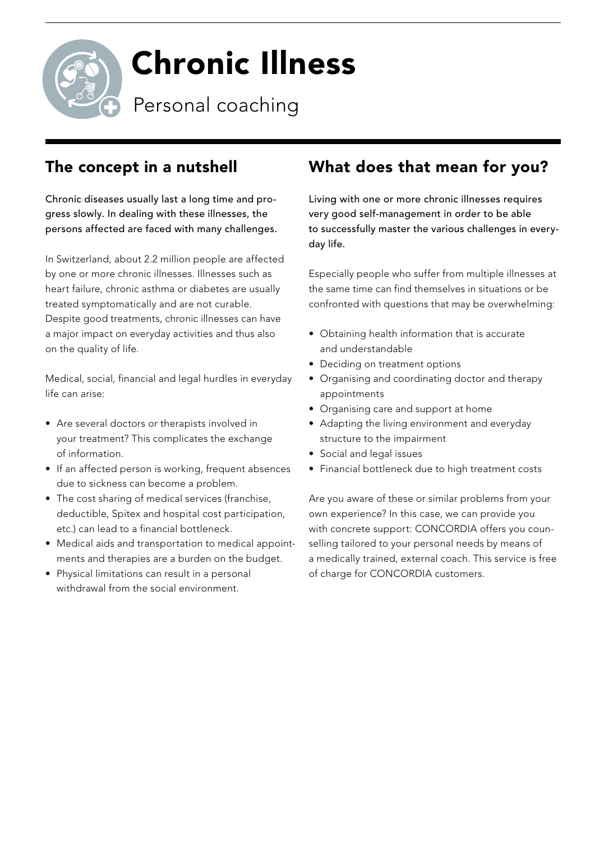

# Chronic Illness

Personal coaching

### The concept in a nutshell

Chronic diseases usually last a long time and progress slowly. In dealing with these illnesses, the persons affected are faced with many challenges.

In Switzerland, about 2.2 million people are affected by one or more chronic illnesses. Illnesses such as heart failure, chronic asthma or diabetes are usually treated symptomatically and are not curable. Despite good treatments, chronic illnesses can have a major impact on everyday activities and thus also on the quality of life.

Medical, social, financial and legal hurdles in everyday life can arise:

- Are several doctors or therapists involved in your treatment? This complicates the exchange of information.
- If an affected person is working, frequent absences due to sickness can become a problem.
- The cost sharing of medical services (franchise, deductible, Spitex and hospital cost participation, etc.) can lead to a financial bottleneck.
- Medical aids and transportation to medical appointments and therapies are a burden on the budget.
- Physical limitations can result in a personal withdrawal from the social environment.

## What does that mean for you?

Living with one or more chronic illnesses requires very good self-management in order to be able to successfully master the various challenges in everyday life.

Especially people who suffer from multiple illnesses at the same time can find themselves in situations or be confronted with questions that may be overwhelming:

- Obtaining health information that is accurate and understandable
- Deciding on treatment options
- Organising and coordinating doctor and therapy appointments
- Organising care and support at home
- Adapting the living environment and everyday structure to the impairment
- Social and legal issues
- Financial bottleneck due to high treatment costs

Are you aware of these or similar problems from your own experience? In this case, we can provide you with concrete support: CONCORDIA offers you counselling tailored to your personal needs by means of a medically trained, external coach. This service is free of charge for CONCORDIA customers.